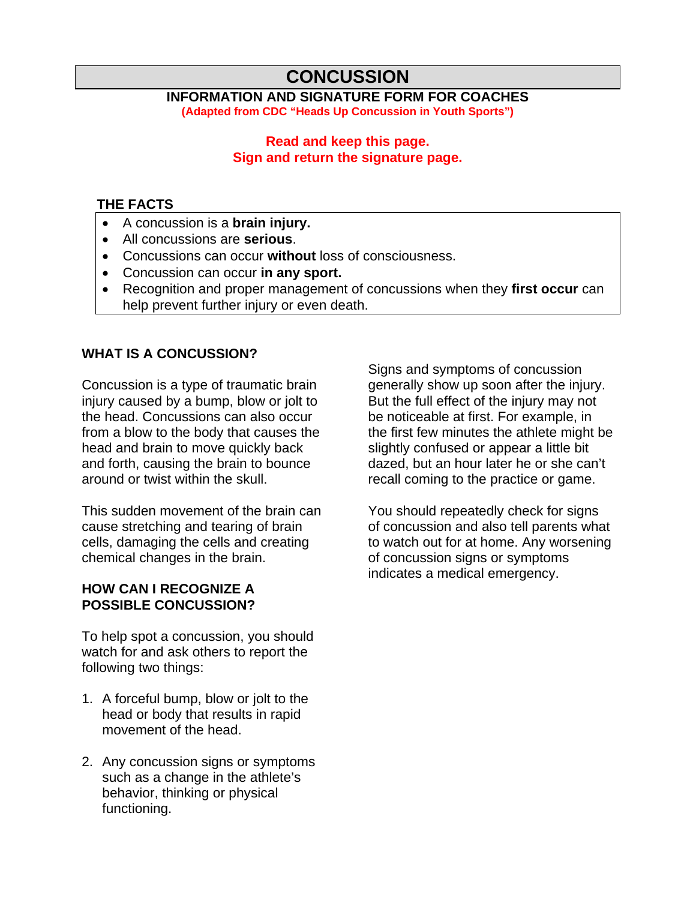# **CONCUSSION**

#### **INFORMATION AND SIGNATURE FORM FOR COACHES (Adapted from CDC "Heads Up Concussion in Youth Sports")**

#### **Read and keep this page. Sign and return the signature page.**

#### **THE FACTS**

- A concussion is a **brain injury.**
- All concussions are **serious**.
- Concussions can occur **without** loss of consciousness.
- Concussion can occur **in any sport.**
- Recognition and proper management of concussions when they **first occur** can help prevent further injury or even death.

## **WHAT IS A CONCUSSION?**

Concussion is a type of traumatic brain injury caused by a bump, blow or jolt to the head. Concussions can also occur from a blow to the body that causes the head and brain to move quickly back and forth, causing the brain to bounce around or twist within the skull.

This sudden movement of the brain can cause stretching and tearing of brain cells, damaging the cells and creating chemical changes in the brain.

#### **HOW CAN I RECOGNIZE A POSSIBLE CONCUSSION?**

To help spot a concussion, you should watch for and ask others to report the following two things:

- 1. A forceful bump, blow or jolt to the head or body that results in rapid movement of the head.
- 2. Any concussion signs or symptoms such as a change in the athlete's behavior, thinking or physical functioning.

Signs and symptoms of concussion generally show up soon after the injury. But the full effect of the injury may not be noticeable at first. For example, in the first few minutes the athlete might be slightly confused or appear a little bit dazed, but an hour later he or she can't recall coming to the practice or game.

You should repeatedly check for signs of concussion and also tell parents what to watch out for at home. Any worsening of concussion signs or symptoms indicates a medical emergency.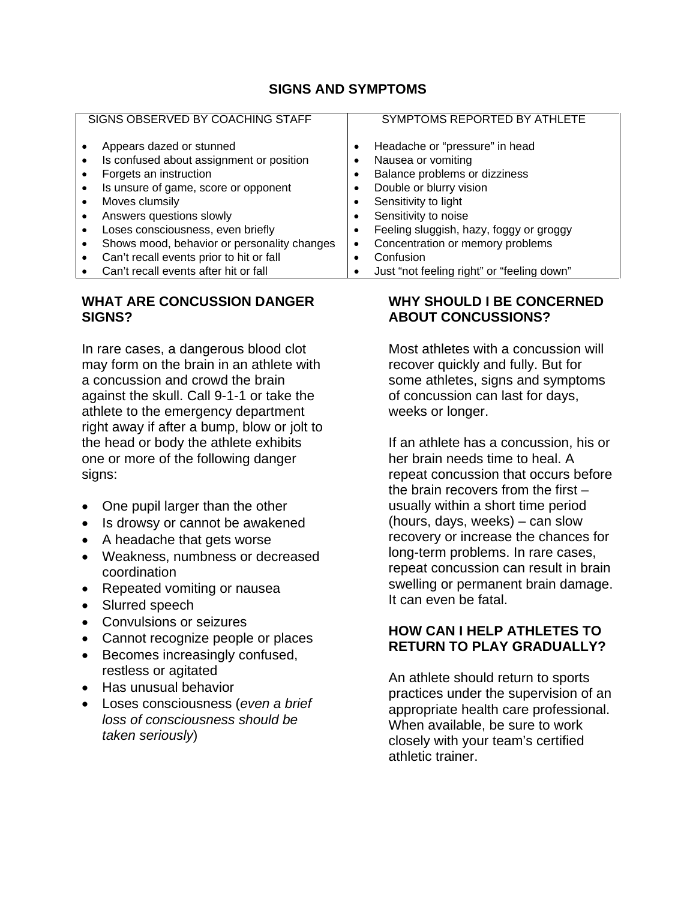### **SIGNS AND SYMPTOMS**

| SIGNS OBSERVED BY COACHING STAFF |                                                                                                                                        |  | SYMPTOMS REPORTED BY ATHLETE                                                                                     |
|----------------------------------|----------------------------------------------------------------------------------------------------------------------------------------|--|------------------------------------------------------------------------------------------------------------------|
|                                  | Appears dazed or stunned<br>Is confused about assignment or position<br>Forgets an instruction<br>Is unsure of game, score or opponent |  | Headache or "pressure" in head<br>Nausea or vomiting<br>Balance problems or dizziness<br>Double or blurry vision |
|                                  | Moves clumsily                                                                                                                         |  | Sensitivity to light                                                                                             |
|                                  | Answers questions slowly                                                                                                               |  | Sensitivity to noise                                                                                             |
|                                  | Loses consciousness, even briefly                                                                                                      |  | Feeling sluggish, hazy, foggy or groggy                                                                          |
|                                  | Shows mood, behavior or personality changes                                                                                            |  | Concentration or memory problems                                                                                 |
|                                  | Can't recall events prior to hit or fall                                                                                               |  | Confusion                                                                                                        |
|                                  | Can't recall events after hit or fall                                                                                                  |  | Just "not feeling right" or "feeling down"                                                                       |

#### **WHAT ARE CONCUSSION DANGER SIGNS?**

In rare cases, a dangerous blood clot may form on the brain in an athlete with a concussion and crowd the brain against the skull. Call 9-1-1 or take the athlete to the emergency department right away if after a bump, blow or jolt to the head or body the athlete exhibits one or more of the following danger signs:

- One pupil larger than the other
- Is drowsy or cannot be awakened
- A headache that gets worse
- Weakness, numbness or decreased coordination
- Repeated vomiting or nausea
- Slurred speech
- Convulsions or seizures
- Cannot recognize people or places
- Becomes increasingly confused, restless or agitated
- Has unusual behavior
- Loses consciousness (*even a brief loss of consciousness should be taken seriously*)

#### **WHY SHOULD I BE CONCERNED ABOUT CONCUSSIONS?**

Most athletes with a concussion will recover quickly and fully. But for some athletes, signs and symptoms of concussion can last for days, weeks or longer.

If an athlete has a concussion, his or her brain needs time to heal. A repeat concussion that occurs before the brain recovers from the first – usually within a short time period (hours, days, weeks) – can slow recovery or increase the chances for long-term problems. In rare cases, repeat concussion can result in brain swelling or permanent brain damage. It can even be fatal.

#### **HOW CAN I HELP ATHLETES TO RETURN TO PLAY GRADUALLY?**

An athlete should return to sports practices under the supervision of an appropriate health care professional. When available, be sure to work closely with your team's certified athletic trainer.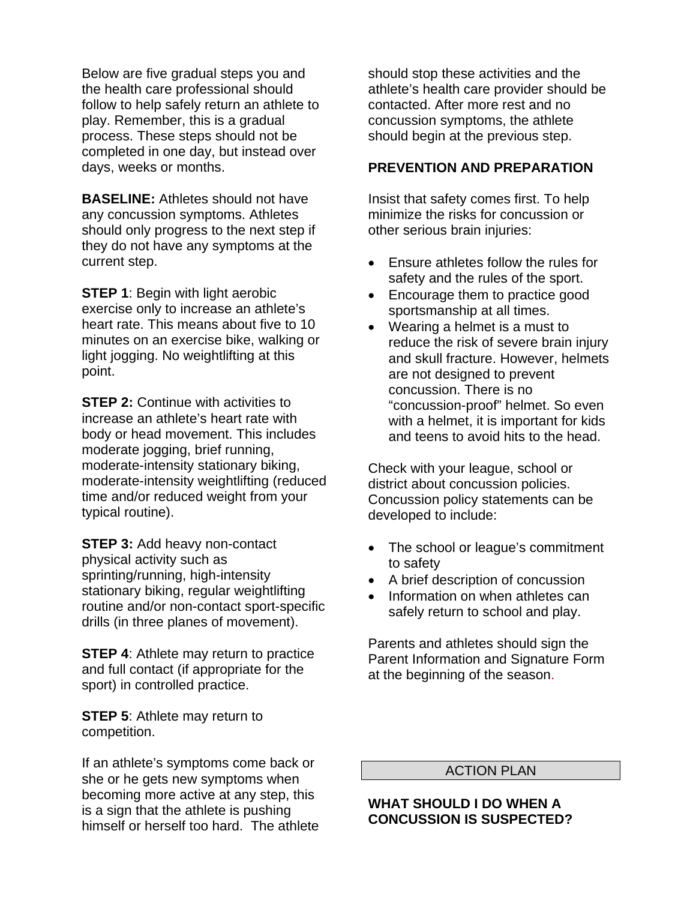Below are five gradual steps you and the health care professional should follow to help safely return an athlete to play. Remember, this is a gradual process. These steps should not be completed in one day, but instead over days, weeks or months.

**BASELINE:** Athletes should not have any concussion symptoms. Athletes should only progress to the next step if they do not have any symptoms at the current step.

**STEP 1: Begin with light aerobic** exercise only to increase an athlete's heart rate. This means about five to 10 minutes on an exercise bike, walking or light jogging. No weightlifting at this point.

**STEP 2: Continue with activities to** increase an athlete's heart rate with body or head movement. This includes moderate jogging, brief running, moderate-intensity stationary biking, moderate-intensity weightlifting (reduced time and/or reduced weight from your typical routine).

**STEP 3:** Add heavy non-contact physical activity such as sprinting/running, high-intensity stationary biking, regular weightlifting routine and/or non-contact sport-specific drills (in three planes of movement).

**STEP 4:** Athlete may return to practice and full contact (if appropriate for the sport) in controlled practice.

**STEP 5: Athlete may return to** competition.

If an athlete's symptoms come back or she or he gets new symptoms when becoming more active at any step, this is a sign that the athlete is pushing himself or herself too hard. The athlete should stop these activities and the athlete's health care provider should be contacted. After more rest and no concussion symptoms, the athlete should begin at the previous step.

#### **PREVENTION AND PREPARATION**

Insist that safety comes first. To help minimize the risks for concussion or other serious brain injuries:

- Ensure athletes follow the rules for safety and the rules of the sport.
- Encourage them to practice good sportsmanship at all times.
- Wearing a helmet is a must to reduce the risk of severe brain injury and skull fracture. However, helmets are not designed to prevent concussion. There is no "concussion-proof" helmet. So even with a helmet, it is important for kids and teens to avoid hits to the head.

Check with your league, school or district about concussion policies. Concussion policy statements can be developed to include:

- The school or league's commitment to safety
- A brief description of concussion
- Information on when athletes can safely return to school and play.

Parents and athletes should sign the Parent Information and Signature Form at the beginning of the season.

#### ACTION PLAN

#### **WHAT SHOULD I DO WHEN A CONCUSSION IS SUSPECTED?**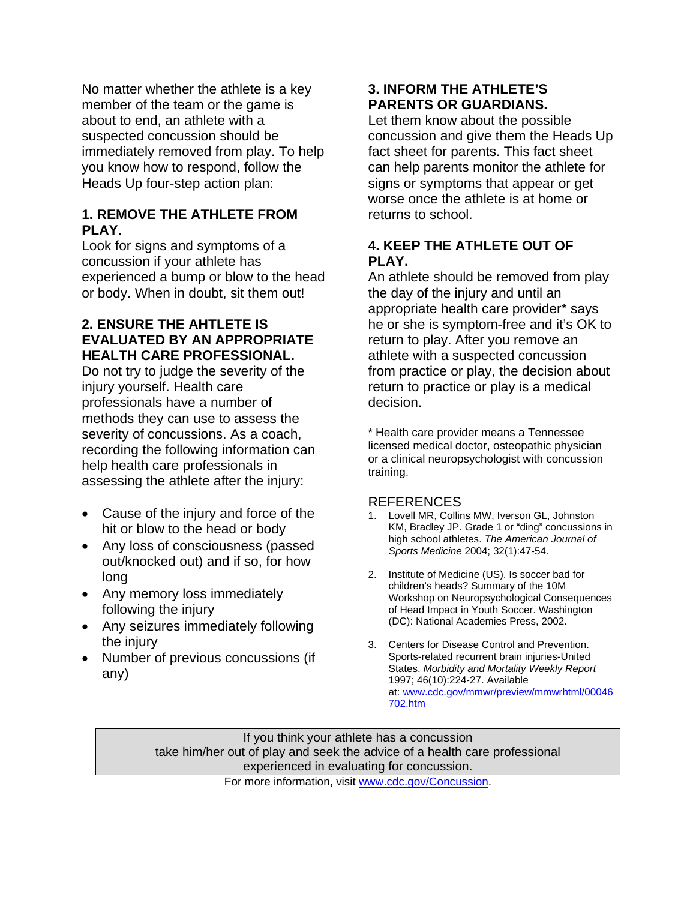No matter whether the athlete is a key member of the team or the game is about to end, an athlete with a suspected concussion should be immediately removed from play. To help you know how to respond, follow the Heads Up four-step action plan:

#### **1. REMOVE THE ATHLETE FROM PLAY**.

Look for signs and symptoms of a concussion if your athlete has experienced a bump or blow to the head or body. When in doubt, sit them out!

#### **2. ENSURE THE AHTLETE IS EVALUATED BY AN APPROPRIATE HEALTH CARE PROFESSIONAL.**

Do not try to judge the severity of the injury yourself. Health care professionals have a number of methods they can use to assess the severity of concussions. As a coach, recording the following information can help health care professionals in assessing the athlete after the injury:

- Cause of the injury and force of the hit or blow to the head or body
- Any loss of consciousness (passed out/knocked out) and if so, for how long
- Any memory loss immediately following the injury
- Any seizures immediately following the injury
- Number of previous concussions (if any)

## **3. INFORM THE ATHLETE'S PARENTS OR GUARDIANS.**

Let them know about the possible concussion and give them the Heads Up fact sheet for parents. This fact sheet can help parents monitor the athlete for signs or symptoms that appear or get worse once the athlete is at home or returns to school.

## **4. KEEP THE ATHLETE OUT OF PLAY.**

An athlete should be removed from play the day of the injury and until an appropriate health care provider\* says he or she is symptom-free and it's OK to return to play. After you remove an athlete with a suspected concussion from practice or play, the decision about return to practice or play is a medical decision.

\* Health care provider means a Tennessee licensed medical doctor, osteopathic physician or a clinical neuropsychologist with concussion training.

#### **REFERENCES**

- 1. Lovell MR, Collins MW, Iverson GL, Johnston KM, Bradley JP. Grade 1 or "ding" concussions in high school athletes. *The American Journal of Sports Medicine* 2004; 32(1):47-54.
- 2. Institute of Medicine (US). Is soccer bad for children's heads? Summary of the 10M Workshop on Neuropsychological Consequences of Head Impact in Youth Soccer. Washington (DC): National Academies Press, 2002.
- 3. Centers for Disease Control and Prevention. Sports-related recurrent brain injuries-United States. *Morbidity and Mortality Weekly Report* 1997; 46(10):224-27. Available at: [www.cdc.gov/mmwr/preview/mmwrhtml/00046](http://www.cdc.gov/mmwr/preview/mmwrhtml/00046702.htm) [702.htm](http://www.cdc.gov/mmwr/preview/mmwrhtml/00046702.htm)

If you think your athlete has a concussion take him/her out of play and seek the advice of a health care professional experienced in evaluating for concussion.

For more information, visit [www.cdc.gov/Concussion.](http://www.cdc.gov/Concussion)